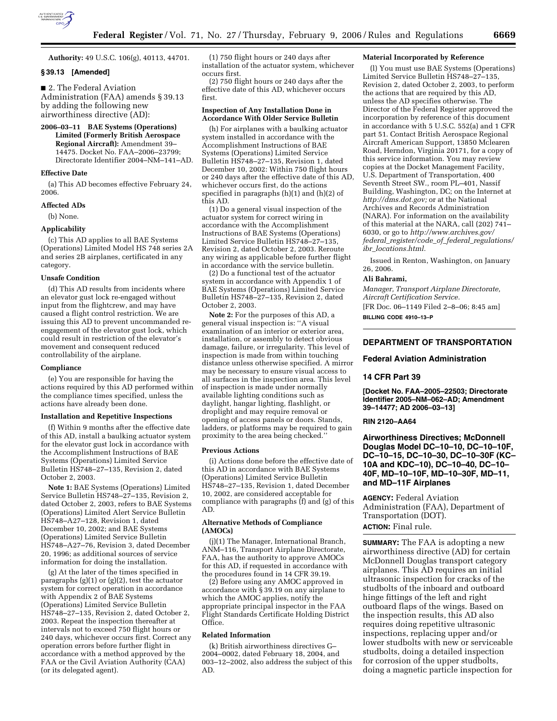

**Authority:** 49 U.S.C. 106(g), 40113, 44701.

# **§ 39.13 [Amended]**

### ■ 2. The Federal Aviation

Administration (FAA) amends § 39.13 by adding the following new airworthiness directive (AD):

**2006–03–11 BAE Systems (Operations) Limited (Formerly British Aerospace Regional Aircraft):** Amendment 39– 14475. Docket No. FAA–2006–23799; Directorate Identifier 2004–NM–141–AD.

## **Effective Date**

(a) This AD becomes effective February 24, 2006.

## **Affected ADs**

(b) None.

# **Applicability**

(c) This AD applies to all BAE Systems (Operations) Limited Model HS 748 series 2A and series 2B airplanes, certificated in any category.

#### **Unsafe Condition**

(d) This AD results from incidents where an elevator gust lock re-engaged without input from the flightcrew, and may have caused a flight control restriction. We are issuing this AD to prevent uncommanded reengagement of the elevator gust lock, which could result in restriction of the elevator's movement and consequent reduced controllability of the airplane.

#### **Compliance**

(e) You are responsible for having the actions required by this AD performed within the compliance times specified, unless the actions have already been done.

## **Installation and Repetitive Inspections**

(f) Within 9 months after the effective date of this AD, install a baulking actuator system for the elevator gust lock in accordance with the Accomplishment Instructions of BAE Systems (Operations) Limited Service Bulletin HS748–27–135, Revision 2, dated October 2, 2003.

**Note 1:** BAE Systems (Operations) Limited Service Bulletin HS748–27–135, Revision 2, dated October 2, 2003, refers to BAE Systems (Operations) Limited Alert Service Bulletin HS748–A27–128, Revision 1, dated December 10, 2002; and BAE Systems (Operations) Limited Service Bulletin HS748–A27–76, Revision 3, dated December 20, 1996; as additional sources of service information for doing the installation.

(g) At the later of the times specified in paragraphs  $(g)(1)$  or  $(g)(2)$ , test the actuator system for correct operation in accordance with Appendix 2 of BAE Systems (Operations) Limited Service Bulletin HS748–27–135, Revision 2, dated October 2, 2003. Repeat the inspection thereafter at intervals not to exceed 750 flight hours or 240 days, whichever occurs first. Correct any operation errors before further flight in accordance with a method approved by the FAA or the Civil Aviation Authority (CAA) (or its delegated agent).

(1) 750 flight hours or 240 days after installation of the actuator system, whichever occurs first.

(2) 750 flight hours or 240 days after the effective date of this AD, whichever occurs first.

### **Inspection of Any Installation Done in Accordance With Older Service Bulletin**

(h) For airplanes with a baulking actuator system installed in accordance with the Accomplishment Instructions of BAE Systems (Operations) Limited Service Bulletin HS748–27–135, Revision 1, dated December 10, 2002: Within 750 flight hours or 240 days after the effective date of this AD, whichever occurs first, do the actions specified in paragraphs (h)(1) and (h)(2) of this AD.

(1) Do a general visual inspection of the actuator system for correct wiring in accordance with the Accomplishment Instructions of BAE Systems (Operations) Limited Service Bulletin HS748–27–135, Revision 2, dated October 2, 2003. Reroute any wiring as applicable before further flight in accordance with the service bulletin.

(2) Do a functional test of the actuator system in accordance with Appendix 1 of BAE Systems (Operations) Limited Service Bulletin HS748–27–135, Revision 2, dated October 2, 2003.

**Note 2:** For the purposes of this AD, a general visual inspection is: ''A visual examination of an interior or exterior area, installation, or assembly to detect obvious damage, failure, or irregularity. This level of inspection is made from within touching distance unless otherwise specified. A mirror may be necessary to ensure visual access to all surfaces in the inspection area. This level of inspection is made under normally available lighting conditions such as daylight, hangar lighting, flashlight, or droplight and may require removal or opening of access panels or doors. Stands, ladders, or platforms may be required to gain proximity to the area being checked.''

#### **Previous Actions**

(i) Actions done before the effective date of this AD in accordance with BAE Systems (Operations) Limited Service Bulletin HS748–27–135, Revision 1, dated December 10, 2002, are considered acceptable for compliance with paragraphs (f) and (g) of this AD.

## **Alternative Methods of Compliance (AMOCs)**

(j)(1) The Manager, International Branch, ANM–116, Transport Airplane Directorate, FAA, has the authority to approve AMOCs for this AD, if requested in accordance with the procedures found in 14 CFR 39.19.

(2) Before using any AMOC approved in accordance with § 39.19 on any airplane to which the AMOC applies, notify the appropriate principal inspector in the FAA Flight Standards Certificate Holding District Office.

#### **Related Information**

(k) British airworthiness directives G– 2004–0002, dated February 18, 2004, and 003–12–2002, also address the subject of this AD.

#### **Material Incorporated by Reference**

(l) You must use BAE Systems (Operations) Limited Service Bulletin HS748–27–135, Revision 2, dated October 2, 2003, to perform the actions that are required by this AD, unless the AD specifies otherwise. The Director of the Federal Register approved the incorporation by reference of this document in accordance with 5 U.S.C. 552(a) and 1 CFR part 51. Contact British Aerospace Regional Aircraft American Support, 13850 Mclearen Road, Herndon, Virginia 20171, for a copy of this service information. You may review copies at the Docket Management Facility, U.S. Department of Transportation, 400 Seventh Street SW., room PL–401, Nassif Building, Washington, DC; on the Internet at *http://dms.dot.gov;* or at the National Archives and Records Administration (NARA). For information on the availability of this material at the NARA, call (202) 741– 6030, or go to *http://www.archives.gov/ federal*\_*register/code*\_*of*\_*federal*\_*regulations/ ibr*\_*locations.html.* 

Issued in Renton, Washington, on January 26, 2006.

### **Ali Bahrami,**

*Manager, Transport Airplane Directorate, Aircraft Certification Service.* 

[FR Doc. 06–1149 Filed 2–8–06; 8:45 am] **BILLING CODE 4910–13–P** 

# **DEPARTMENT OF TRANSPORTATION**

#### **Federal Aviation Administration**

#### **14 CFR Part 39**

**[Docket No. FAA–2005–22503; Directorate Identifier 2005–NM–062–AD; Amendment 39–14477; AD 2006–03–13]** 

### **RIN 2120–AA64**

**Airworthiness Directives; McDonnell Douglas Model DC–10–10, DC–10–10F, DC–10–15, DC–10–30, DC–10–30F (KC– 10A and KDC–10), DC–10–40, DC–10– 40F, MD–10–10F, MD–10–30F, MD–11, and MD–11F Airplanes** 

**AGENCY:** Federal Aviation Administration (FAA), Department of Transportation (DOT). **ACTION:** Final rule.

**SUMMARY:** The FAA is adopting a new airworthiness directive (AD) for certain McDonnell Douglas transport category airplanes. This AD requires an initial ultrasonic inspection for cracks of the studbolts of the inboard and outboard hinge fittings of the left and right outboard flaps of the wings. Based on the inspection results, this AD also requires doing repetitive ultrasonic inspections, replacing upper and/or lower studbolts with new or serviceable studbolts, doing a detailed inspection for corrosion of the upper studbolts, doing a magnetic particle inspection for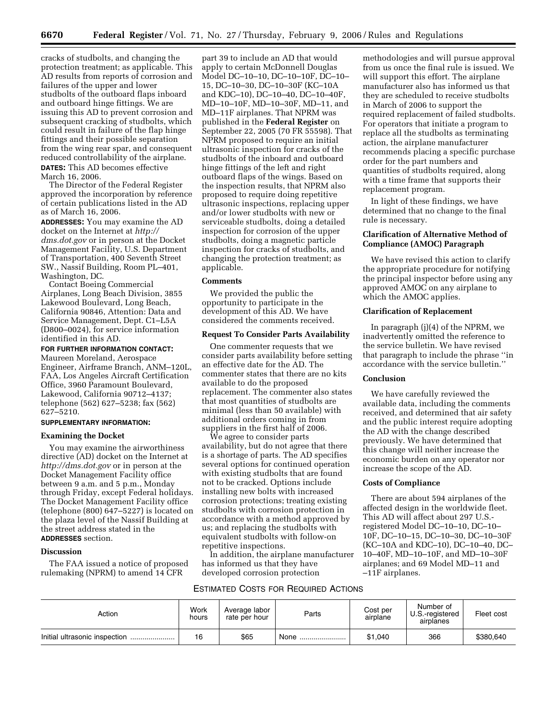cracks of studbolts, and changing the protection treatment; as applicable. This AD results from reports of corrosion and failures of the upper and lower studbolts of the outboard flaps inboard and outboard hinge fittings. We are issuing this AD to prevent corrosion and subsequent cracking of studbolts, which could result in failure of the flap hinge fittings and their possible separation from the wing rear spar, and consequent reduced controllability of the airplane. **DATES:** This AD becomes effective March 16, 2006.

The Director of the Federal Register approved the incorporation by reference of certain publications listed in the AD as of March 16, 2006.

**ADDRESSES:** You may examine the AD docket on the Internet at *http:// dms.dot.gov* or in person at the Docket Management Facility, U.S. Department of Transportation, 400 Seventh Street SW., Nassif Building, Room PL–401, Washington, DC.

Contact Boeing Commercial Airplanes, Long Beach Division, 3855 Lakewood Boulevard, Long Beach, California 90846, Attention: Data and Service Management, Dept. C1–L5A (D800–0024), for service information identified in this AD.

# **FOR FURTHER INFORMATION CONTACT:**

Maureen Moreland, Aerospace Engineer, Airframe Branch, ANM–120L, FAA, Los Angeles Aircraft Certification Office, 3960 Paramount Boulevard, Lakewood, California 90712–4137; telephone (562) 627–5238; fax (562) 627–5210.

# **SUPPLEMENTARY INFORMATION:**

# **Examining the Docket**

You may examine the airworthiness directive (AD) docket on the Internet at *http://dms.dot.gov* or in person at the Docket Management Facility office between 9 a.m. and 5 p.m., Monday through Friday, except Federal holidays. The Docket Management Facility office (telephone (800) 647–5227) is located on the plaza level of the Nassif Building at the street address stated in the **ADDRESSES** section.

#### **Discussion**

The FAA issued a notice of proposed rulemaking (NPRM) to amend 14 CFR

part 39 to include an AD that would apply to certain McDonnell Douglas Model DC–10–10, DC–10–10F, DC–10– 15, DC–10–30, DC–10–30F (KC–10A and KDC–10), DC–10–40, DC–10–40F, MD–10–10F, MD–10–30F, MD–11, and MD–11F airplanes. That NPRM was published in the **Federal Register** on September 22, 2005 (70 FR 55598). That NPRM proposed to require an initial ultrasonic inspection for cracks of the studbolts of the inboard and outboard hinge fittings of the left and right outboard flaps of the wings. Based on the inspection results, that NPRM also proposed to require doing repetitive ultrasonic inspections, replacing upper and/or lower studbolts with new or serviceable studbolts, doing a detailed inspection for corrosion of the upper studbolts, doing a magnetic particle inspection for cracks of studbolts, and changing the protection treatment; as applicable.

## **Comments**

We provided the public the opportunity to participate in the development of this AD. We have considered the comments received.

## **Request To Consider Parts Availability**

One commenter requests that we consider parts availability before setting an effective date for the AD. The commenter states that there are no kits available to do the proposed replacement. The commenter also states that most quantities of studbolts are minimal (less than 50 available) with additional orders coming in from suppliers in the first half of 2006.

We agree to consider parts availability, but do not agree that there is a shortage of parts. The AD specifies several options for continued operation with existing studbolts that are found not to be cracked. Options include installing new bolts with increased corrosion protections; treating existing studbolts with corrosion protection in accordance with a method approved by us; and replacing the studbolts with equivalent studbolts with follow-on repetitive inspections.

In addition, the airplane manufacturer has informed us that they have developed corrosion protection

methodologies and will pursue approval from us once the final rule is issued. We will support this effort. The airplane manufacturer also has informed us that they are scheduled to receive studbolts in March of 2006 to support the required replacement of failed studbolts. For operators that initiate a program to replace all the studbolts as terminating action, the airplane manufacturer recommends placing a specific purchase order for the part numbers and quantities of studbolts required, along with a time frame that supports their replacement program.

In light of these findings, we have determined that no change to the final rule is necessary.

# **Clarification of Alternative Method of Compliance (AMOC) Paragraph**

We have revised this action to clarify the appropriate procedure for notifying the principal inspector before using any approved AMOC on any airplane to which the AMOC applies.

#### **Clarification of Replacement**

In paragraph (j)(4) of the NPRM, we inadvertently omitted the reference to the service bulletin. We have revised that paragraph to include the phrase ''in accordance with the service bulletin.''

# **Conclusion**

We have carefully reviewed the available data, including the comments received, and determined that air safety and the public interest require adopting the AD with the change described previously. We have determined that this change will neither increase the economic burden on any operator nor increase the scope of the AD.

## **Costs of Compliance**

There are about 594 airplanes of the affected design in the worldwide fleet. This AD will affect about 297 U.S. registered Model DC–10–10, DC–10– 10F, DC–10–15, DC–10–30, DC–10–30F (KC–10A and KDC–10), DC–10–40, DC– 10–40F, MD–10–10F, and MD–10–30F airplanes; and 69 Model MD–11 and –11F airplanes.

# ESTIMATED COSTS FOR REQUIRED ACTIONS

| Action | Work<br>hours | Average labor<br>rate per hour | Parts | Cost per<br>airplane | Number of<br>U.S.-registered<br>airplanes | Fleet cost |
|--------|---------------|--------------------------------|-------|----------------------|-------------------------------------------|------------|
|        | 16            | \$65                           | None  | \$1.040              | 366                                       | \$380.640  |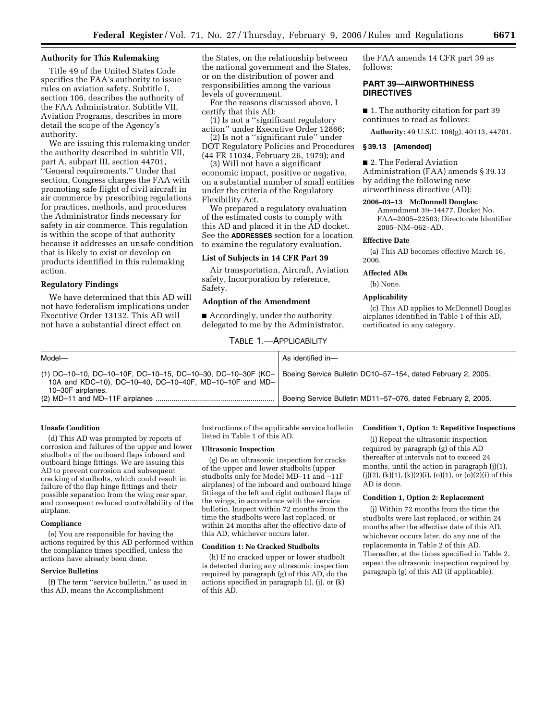# **Authority for This Rulemaking**

Title 49 of the United States Code specifies the FAA's authority to issue rules on aviation safety. Subtitle I, section 106, describes the authority of the FAA Administrator. Subtitle VII, Aviation Programs, describes in more detail the scope of the Agency's authority.

We are issuing this rulemaking under the authority described in subtitle VII, part A, subpart III, section 44701, ''General requirements.'' Under that section, Congress charges the FAA with promoting safe flight of civil aircraft in air commerce by prescribing regulations for practices, methods, and procedures the Administrator finds necessary for safety in air commerce. This regulation is within the scope of that authority because it addresses an unsafe condition that is likely to exist or develop on products identified in this rulemaking action.

# **Regulatory Findings**

We have determined that this AD will not have federalism implications under Executive Order 13132. This AD will not have a substantial direct effect on

the States, on the relationship between the national government and the States, or on the distribution of power and responsibilities among the various levels of government.

For the reasons discussed above, I certify that this AD:

(1) Is not a ''significant regulatory action'' under Executive Order 12866;

(2) Is not a ''significant rule'' under DOT Regulatory Policies and Procedures (44 FR 11034, February 26, 1979); and

(3) Will not have a significant economic impact, positive or negative, on a substantial number of small entities under the criteria of the Regulatory Flexibility Act.

We prepared a regulatory evaluation of the estimated costs to comply with this AD and placed it in the AD docket. See the **ADDRESSES** section for a location to examine the regulatory evaluation.

#### **List of Subjects in 14 CFR Part 39**

Air transportation, Aircraft, Aviation safety, Incorporation by reference, Safety.

#### **Adoption of the Amendment**

■ Accordingly, under the authority delegated to me by the Administrator,

TABLE 1.—APPLICABILITY

the FAA amends 14 CFR part 39 as follows:

# **PART 39—AIRWORTHINESS DIRECTIVES**

■ 1. The authority citation for part 39 continues to read as follows:

**Authority:** 49 U.S.C. 106(g), 40113, 44701.

#### **§ 39.13 [Amended]**

#### ■ 2. The Federal Aviation

Administration (FAA) amends § 39.13 by adding the following new airworthiness directive (AD):

#### **2006–03–13 McDonnell Douglas:**

Amendment 39–14477. Docket No. FAA–2005–22503; Directorate Identifier 2005–NM–062–AD.

# **Effective Date**

(a) This AD becomes effective March 16, 2006.

#### **Affected ADs**

(b) None.

#### **Applicability**

(c) This AD applies to McDonnell Douglas airplanes identified in Table 1 of this AD, certificated in any category.

| Model-                                                                                                                                        | As identified in-                                            |
|-----------------------------------------------------------------------------------------------------------------------------------------------|--------------------------------------------------------------|
| $(1)$ DC-10-10, DC-10-10F, DC-10-15, DC-10-30, DC-10-30F (KC-<br>10A and KDC-10), DC-10-40, DC-10-40F, MD-10-10F and MD-<br>10-30F airplanes. | Boeing Service Bulletin DC10-57-154, dated February 2, 2005. |
|                                                                                                                                               | Boeing Service Bulletin MD11-57-076, dated February 2, 2005. |

#### **Unsafe Condition**

(d) This AD was prompted by reports of corrosion and failures of the upper and lower studbolts of the outboard flaps inboard and outboard hinge fittings. We are issuing this AD to prevent corrosion and subsequent cracking of studbolts, which could result in failure of the flap hinge fittings and their possible separation from the wing rear spar, and consequent reduced controllability of the airplane.

#### **Compliance**

(e) You are responsible for having the actions required by this AD performed within the compliance times specified, unless the actions have already been done.

#### **Service Bulletins**

(f) The term ''service bulletin,'' as used in this AD, means the Accomplishment

Instructions of the applicable service bulletin listed in Table 1 of this AD.

## **Ultrasonic Inspection**

(g) Do an ultrasonic inspection for cracks of the upper and lower studbolts (upper studbolts only for Model MD–11 and –11F airplanes) of the inboard and outboard hinge fittings of the left and right outboard flaps of the wings, in accordance with the service bulletin. Inspect within 72 months from the time the studbolts were last replaced, or within 24 months after the effective date of this AD, whichever occurs later.

## **Condition 1: No Cracked Studbolts**

(h) If no cracked upper or lower studbolt is detected during any ultrasonic inspection required by paragraph (g) of this AD, do the actions specified in paragraph (i), (j), or (k) of this AD.

#### **Condition 1, Option 1: Repetitive Inspections**

(i) Repeat the ultrasonic inspection required by paragraph (g) of this AD thereafter at intervals not to exceed 24 months, until the action in paragraph (j)(1),  $(j)(2)$ ,  $(k)(1)$ ,  $(k)(2)(i)$ ,  $(o)(1)$ , or  $(o)(2)(i)$  of this AD is done.

### **Condition 1, Option 2: Replacement**

(j) Within 72 months from the time the studbolts were last replaced, or within 24 months after the effective date of this AD, whichever occurs later, do any one of the replacements in Table 2 of this AD. Thereafter, at the times specified in Table 2, repeat the ultrasonic inspection required by paragraph (g) of this AD (if applicable).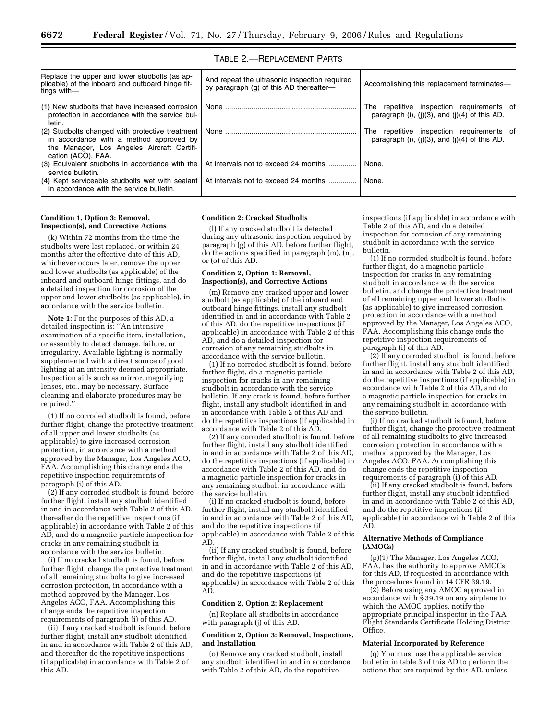| Replace the upper and lower studbolts (as ap-<br>plicable) of the inboard and outboard hinge fit-<br>tings with-                                                 | And repeat the ultrasonic inspection required<br>by paragraph (g) of this AD thereafter- | Accomplishing this replacement terminates-                                                      |
|------------------------------------------------------------------------------------------------------------------------------------------------------------------|------------------------------------------------------------------------------------------|-------------------------------------------------------------------------------------------------|
| $(1)$ New studbolts that have increased corrosion $\mathsf{R}$<br>protection in accordance with the service bul-<br>letin.                                       |                                                                                          | The repetitive inspection requirements of<br>paragraph (i), $(i)(3)$ , and $(i)(4)$ of this AD. |
| (2) Studbolts changed with protective treatment  <br>in accordance with a method approved by<br>the Manager, Los Angeles Aircraft Certifi-<br>cation (ACO), FAA. |                                                                                          | repetitive inspection requirements of<br>The<br>paragraph (i), (i)(3), and (i)(4) of this AD.   |
| (3) Equivalent studbolts in accordance with the<br>service bulletin.                                                                                             | At intervals not to exceed 24 months                                                     | None.                                                                                           |
| (4) Kept serviceable studbolts wet with sealant<br>in accordance with the service bulletin.                                                                      | At intervals not to exceed 24 months                                                     | None.                                                                                           |

# TABLE 2.—REPLACEMENT PARTS

#### **Condition 1, Option 3: Removal, Inspection(s), and Corrective Actions**

(k) Within 72 months from the time the studbolts were last replaced, or within 24 months after the effective date of this AD, whichever occurs later, remove the upper and lower studbolts (as applicable) of the inboard and outboard hinge fittings, and do a detailed inspection for corrosion of the upper and lower studbolts (as applicable), in accordance with the service bulletin.

**Note 1:** For the purposes of this AD, a detailed inspection is: ''An intensive examination of a specific item, installation, or assembly to detect damage, failure, or irregularity. Available lighting is normally supplemented with a direct source of good lighting at an intensity deemed appropriate. Inspection aids such as mirror, magnifying lenses, etc., may be necessary. Surface cleaning and elaborate procedures may be required.''

(1) If no corroded studbolt is found, before further flight, change the protective treatment of all upper and lower studbolts (as applicable) to give increased corrosion protection, in accordance with a method approved by the Manager, Los Angeles ACO, FAA. Accomplishing this change ends the repetitive inspection requirements of paragraph (i) of this AD.

(2) If any corroded studbolt is found, before further flight, install any studbolt identified in and in accordance with Table 2 of this AD, thereafter do the repetitive inspections (if applicable) in accordance with Table 2 of this AD, and do a magnetic particle inspection for cracks in any remaining studbolt in accordance with the service bulletin.

(i) If no cracked studbolt is found, before further flight, change the protective treatment of all remaining studbolts to give increased corrosion protection, in accordance with a method approved by the Manager, Los Angeles ACO, FAA. Accomplishing this change ends the repetitive inspection requirements of paragraph (i) of this AD.

(ii) If any cracked studbolt is found, before further flight, install any studbolt identified in and in accordance with Table 2 of this AD, and thereafter do the repetitive inspections (if applicable) in accordance with Table 2 of this AD.

#### **Condition 2: Cracked Studbolts**

(l) If any cracked studbolt is detected during any ultrasonic inspection required by paragraph (g) of this AD, before further flight, do the actions specified in paragraph (m), (n), or (o) of this AD.

## **Condition 2, Option 1: Removal, Inspection(s), and Corrective Actions**

(m) Remove any cracked upper and lower studbolt (as applicable) of the inboard and outboard hinge fittings, install any studbolt identified in and in accordance with Table 2 of this AD, do the repetitive inspections (if applicable) in accordance with Table 2 of this AD, and do a detailed inspection for corrosion of any remaining studbolts in accordance with the service bulletin.

(1) If no corroded studbolt is found, before further flight, do a magnetic particle inspection for cracks in any remaining studbolt in accordance with the service bulletin. If any crack is found, before further flight, install any studbolt identified in and in accordance with Table 2 of this AD and do the repetitive inspections (if applicable) in accordance with Table 2 of this AD.

(2) If any corroded studbolt is found, before further flight, install any studbolt identified in and in accordance with Table 2 of this AD, do the repetitive inspections (if applicable) in accordance with Table 2 of this AD, and do a magnetic particle inspection for cracks in any remaining studbolt in accordance with the service bulletin.

(i) If no cracked studbolt is found, before further flight, install any studbolt identified in and in accordance with Table 2 of this AD, and do the repetitive inspections (if applicable) in accordance with Table 2 of this AD.

(ii) If any cracked studbolt is found, before further flight, install any studbolt identified in and in accordance with Table 2 of this AD, and do the repetitive inspections (if applicable) in accordance with Table 2 of this AD.

#### **Condition 2, Option 2: Replacement**

(n) Replace all studbolts in accordance with paragraph (j) of this AD.

### **Condition 2, Option 3: Removal, Inspections, and Installation**

(o) Remove any cracked studbolt, install any studbolt identified in and in accordance with Table 2 of this AD, do the repetitive

inspections (if applicable) in accordance with Table 2 of this AD, and do a detailed inspection for corrosion of any remaining studbolt in accordance with the service bulletin.

(1) If no corroded studbolt is found, before further flight, do a magnetic particle inspection for cracks in any remaining studbolt in accordance with the service bulletin, and change the protective treatment of all remaining upper and lower studbolts (as applicable) to give increased corrosion protection in accordance with a method approved by the Manager, Los Angeles ACO, FAA. Accomplishing this change ends the repetitive inspection requirements of paragraph (i) of this AD.

(2) If any corroded studbolt is found, before further flight, install any studbolt identified in and in accordance with Table 2 of this AD, do the repetitive inspections (if applicable) in accordance with Table 2 of this AD, and do a magnetic particle inspection for cracks in any remaining studbolt in accordance with the service bulletin.

(i) If no cracked studbolt is found, before further flight, change the protective treatment of all remaining studbolts to give increased corrosion protection in accordance with a method approved by the Manager, Los Angeles ACO, FAA. Accomplishing this change ends the repetitive inspection requirements of paragraph (i) of this AD.

(ii) If any cracked studbolt is found, before further flight, install any studbolt identified in and in accordance with Table 2 of this AD, and do the repetitive inspections (if applicable) in accordance with Table 2 of this AD.

### **Alternative Methods of Compliance (AMOCs)**

(p)(1) The Manager, Los Angeles ACO, FAA, has the authority to approve AMOCs for this AD, if requested in accordance with the procedures found in 14 CFR 39.19.

(2) Before using any AMOC approved in accordance with § 39.19 on any airplane to which the AMOC applies, notify the appropriate principal inspector in the FAA Flight Standards Certificate Holding District Office.

### **Material Incorporated by Reference**

(q) You must use the applicable service bulletin in table 3 of this AD to perform the actions that are required by this AD, unless